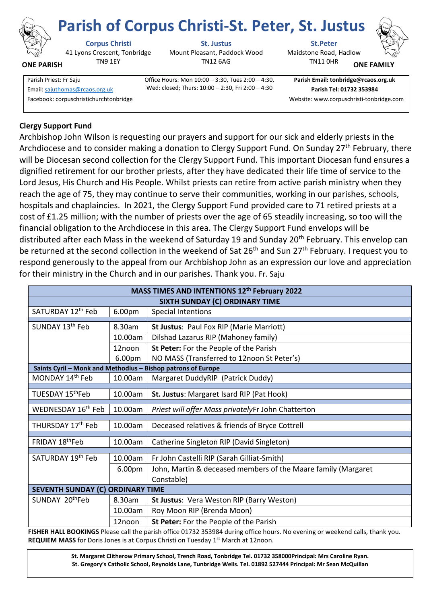

**ONE PARISH**

# **Corpus Christi St. Justus St.Peter**

41 Lyons Crescent, Tonbridge TN9 1EY

Mount Pleasant, Paddock Wood TN12 6AG

Maidstone Road, Hadlow **Parish of Corpus Christi-St. Peter, St. Justus**



**ONE FAMILY**

Facebook: corpuschristichurchtonbridge Website: www.corpuschristi-tonbridge.com

Parish Priest: Fr Saju **Office Hours: Mon 10:00 – 3:30, Tues 2:00 – 4:30,** Wed: closed; Thurs: 10:00 – 2:30, Fri 2:00 – 4:30 Email[: sajuthomas@rcaos.org.uk](about:blank) **Parish Tel: 01732 353984**

**Parish Email: tonbridge@rcaos.org.uk**

TN11 0HR

## **Clergy Support Fund**

Archbishop John Wilson is requesting our prayers and support for our sick and elderly priests in the Archdiocese and to consider making a donation to Clergy Support Fund. On Sunday 27<sup>th</sup> February, there will be Diocesan second collection for the Clergy Support Fund. This important Diocesan fund ensures a dignified retirement for our brother priests, after they have dedicated their life time of service to the Lord Jesus, His Church and His People. Whilst priests can retire from active parish ministry when they reach the age of 75, they may continue to serve their communities, working in our parishes, schools, hospitals and chaplaincies. In 2021, the Clergy Support Fund provided care to 71 retired priests at a cost of £1.25 million; with the number of priests over the age of 65 steadily increasing, so too will the financial obligation to the Archdiocese in this area. The Clergy Support Fund envelops will be distributed after each Mass in the weekend of Saturday 19 and Sunday 20<sup>th</sup> February. This envelop can be returned at the second collection in the weekend of Sat 26<sup>th</sup> and Sun 27<sup>th</sup> February. I request you to respond generously to the appeal from our Archbishop John as an expression our love and appreciation for their ministry in the Church and in our parishes. Thank you. Fr. Saju

| MASS TIMES AND INTENTIONS 12th February 2022                 |                    |                                                               |
|--------------------------------------------------------------|--------------------|---------------------------------------------------------------|
| SIXTH SUNDAY (C) ORDINARY TIME                               |                    |                                                               |
| SATURDAY 12th Feb                                            | 6.00pm             | <b>Special Intentions</b>                                     |
| SUNDAY 13 <sup>th</sup> Feb                                  | 8.30am             | <b>St Justus: Paul Fox RIP (Marie Marriott)</b>               |
|                                                              | 10.00am            | Dilshad Lazarus RIP (Mahoney family)                          |
|                                                              | 12noon             | St Peter: For the People of the Parish                        |
|                                                              | 6.00 <sub>pm</sub> | NO MASS (Transferred to 12noon St Peter's)                    |
| Saints Cyril - Monk and Methodius - Bishop patrons of Europe |                    |                                                               |
| MONDAY 14th Feb                                              | 10.00am            | Margaret DuddyRIP (Patrick Duddy)                             |
| TUESDAY 15 <sup>th</sup> Feb                                 | 10.00am            | St. Justus: Margaret Isard RIP (Pat Hook)                     |
| WEDNESDAY 16 <sup>th</sup> Feb                               | 10.00am            | Priest will offer Mass privatelyFr John Chatterton            |
| THURSDAY 17th Feb                                            | 10.00am            | Deceased relatives & friends of Bryce Cottrell                |
| FRIDAY 18thFeb                                               | 10.00am            | Catherine Singleton RIP (David Singleton)                     |
| SATURDAY 19th Feb                                            | 10.00am            | Fr John Castelli RIP (Sarah Gilliat-Smith)                    |
|                                                              | 6.00pm             | John, Martin & deceased members of the Maare family (Margaret |
|                                                              |                    | Constable)                                                    |
| SEVENTH SUNDAY (C) ORDINARY TIME                             |                    |                                                               |
| SUNDAY 20thFeb                                               | 8.30am             | <b>St Justus: Vera Weston RIP (Barry Weston)</b>              |
|                                                              | 10.00am            | Roy Moon RIP (Brenda Moon)                                    |
|                                                              | 12noon             | St Peter: For the People of the Parish                        |

**FISHER HALL BOOKINGS** Please call the parish office 01732 353984 during office hours. No evening or weekend calls, thank you. **REQUIEM MASS** for Doris Jones is at Corpus Christi on Tuesday 1<sup>st</sup> March at 12noon.

> **St. Margaret Clitherow Primary School, Trench Road, Tonbridge Tel. 01732 358000Principal: Mrs Caroline Ryan. St. Gregory's Catholic School, Reynolds Lane, Tunbridge Wells. Tel. 01892 527444 Principal: Mr Sean McQuillan**